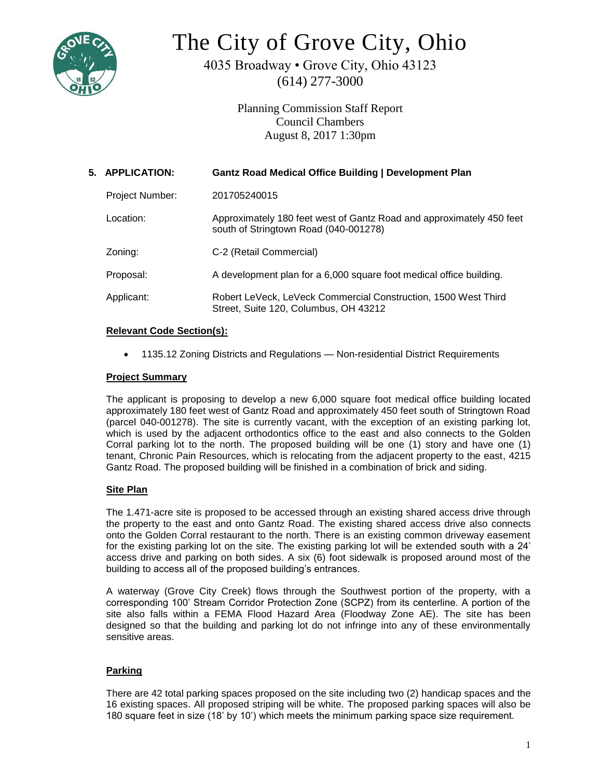

# The City of Grove City, Ohio

4035 Broadway • Grove City, Ohio 43123 (614) 277-3000

> Planning Commission Staff Report Council Chambers August 8, 2017 1:30pm

| 5. APPLICATION:        | <b>Gantz Road Medical Office Building   Development Plan</b>                                                  |
|------------------------|---------------------------------------------------------------------------------------------------------------|
| <b>Project Number:</b> | 201705240015                                                                                                  |
| Location:              | Approximately 180 feet west of Gantz Road and approximately 450 feet<br>south of Stringtown Road (040-001278) |
| Zoning:                | C-2 (Retail Commercial)                                                                                       |
| Proposal:              | A development plan for a 6,000 square foot medical office building.                                           |
| Applicant:             | Robert LeVeck, LeVeck Commercial Construction, 1500 West Third<br>Street, Suite 120, Columbus, OH 43212       |

## **Relevant Code Section(s):**

1135.12 Zoning Districts and Regulations — Non-residential District Requirements

## **Project Summary**

The applicant is proposing to develop a new 6,000 square foot medical office building located approximately 180 feet west of Gantz Road and approximately 450 feet south of Stringtown Road (parcel 040-001278). The site is currently vacant, with the exception of an existing parking lot, which is used by the adjacent orthodontics office to the east and also connects to the Golden Corral parking lot to the north. The proposed building will be one (1) story and have one (1) tenant, Chronic Pain Resources, which is relocating from the adjacent property to the east, 4215 Gantz Road. The proposed building will be finished in a combination of brick and siding.

# **Site Plan**

The 1.471-acre site is proposed to be accessed through an existing shared access drive through the property to the east and onto Gantz Road. The existing shared access drive also connects onto the Golden Corral restaurant to the north. There is an existing common driveway easement for the existing parking lot on the site. The existing parking lot will be extended south with a 24' access drive and parking on both sides. A six (6) foot sidewalk is proposed around most of the building to access all of the proposed building's entrances.

A waterway (Grove City Creek) flows through the Southwest portion of the property, with a corresponding 100' Stream Corridor Protection Zone (SCPZ) from its centerline. A portion of the site also falls within a FEMA Flood Hazard Area (Floodway Zone AE). The site has been designed so that the building and parking lot do not infringe into any of these environmentally sensitive areas.

# **Parking**

There are 42 total parking spaces proposed on the site including two (2) handicap spaces and the 16 existing spaces. All proposed striping will be white. The proposed parking spaces will also be 180 square feet in size (18' by 10') which meets the minimum parking space size requirement.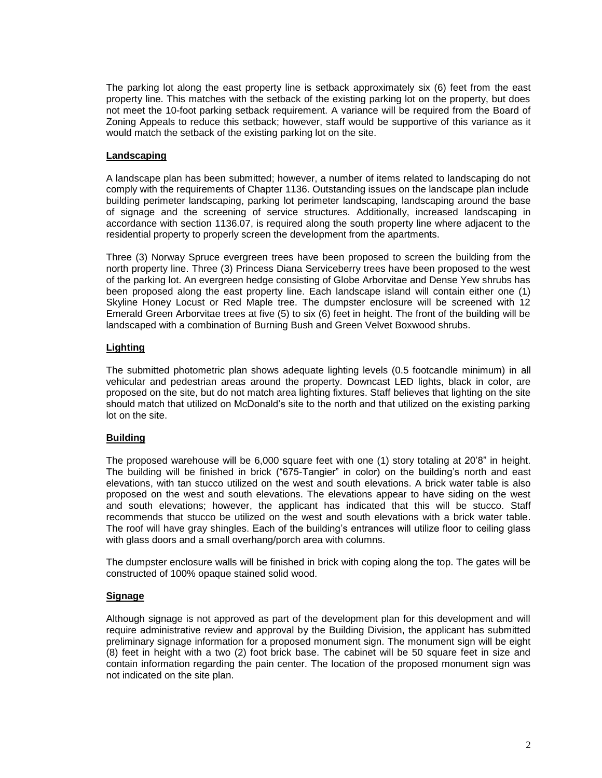The parking lot along the east property line is setback approximately six (6) feet from the east property line. This matches with the setback of the existing parking lot on the property, but does not meet the 10-foot parking setback requirement. A variance will be required from the Board of Zoning Appeals to reduce this setback; however, staff would be supportive of this variance as it would match the setback of the existing parking lot on the site.

#### **Landscaping**

A landscape plan has been submitted; however, a number of items related to landscaping do not comply with the requirements of Chapter 1136. Outstanding issues on the landscape plan include building perimeter landscaping, parking lot perimeter landscaping, landscaping around the base of signage and the screening of service structures. Additionally, increased landscaping in accordance with section 1136.07, is required along the south property line where adjacent to the residential property to properly screen the development from the apartments.

Three (3) Norway Spruce evergreen trees have been proposed to screen the building from the north property line. Three (3) Princess Diana Serviceberry trees have been proposed to the west of the parking lot. An evergreen hedge consisting of Globe Arborvitae and Dense Yew shrubs has been proposed along the east property line. Each landscape island will contain either one (1) Skyline Honey Locust or Red Maple tree. The dumpster enclosure will be screened with 12 Emerald Green Arborvitae trees at five (5) to six (6) feet in height. The front of the building will be landscaped with a combination of Burning Bush and Green Velvet Boxwood shrubs.

## **Lighting**

The submitted photometric plan shows adequate lighting levels (0.5 footcandle minimum) in all vehicular and pedestrian areas around the property. Downcast LED lights, black in color, are proposed on the site, but do not match area lighting fixtures. Staff believes that lighting on the site should match that utilized on McDonald's site to the north and that utilized on the existing parking lot on the site.

## **Building**

The proposed warehouse will be 6,000 square feet with one (1) story totaling at 20'8" in height. The building will be finished in brick ("675-Tangier" in color) on the building's north and east elevations, with tan stucco utilized on the west and south elevations. A brick water table is also proposed on the west and south elevations. The elevations appear to have siding on the west and south elevations; however, the applicant has indicated that this will be stucco. Staff recommends that stucco be utilized on the west and south elevations with a brick water table. The roof will have gray shingles. Each of the building's entrances will utilize floor to ceiling glass with glass doors and a small overhang/porch area with columns.

The dumpster enclosure walls will be finished in brick with coping along the top. The gates will be constructed of 100% opaque stained solid wood.

#### **Signage**

Although signage is not approved as part of the development plan for this development and will require administrative review and approval by the Building Division, the applicant has submitted preliminary signage information for a proposed monument sign. The monument sign will be eight (8) feet in height with a two (2) foot brick base. The cabinet will be 50 square feet in size and contain information regarding the pain center. The location of the proposed monument sign was not indicated on the site plan.